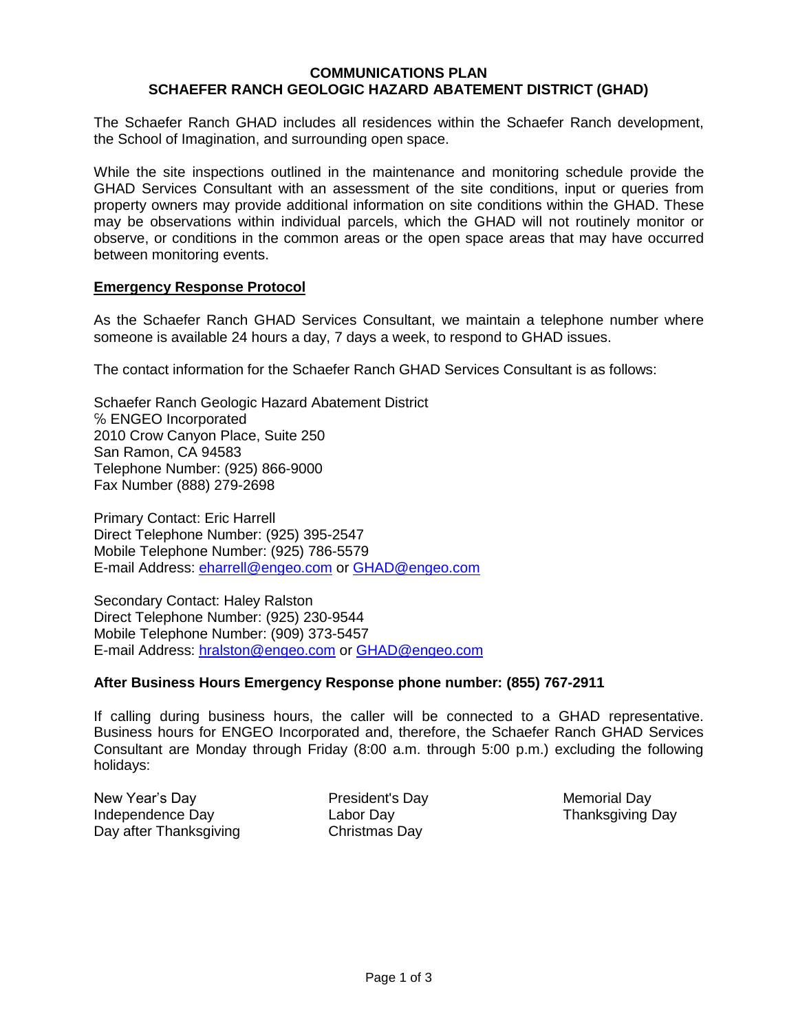#### **COMMUNICATIONS PLAN SCHAEFER RANCH GEOLOGIC HAZARD ABATEMENT DISTRICT (GHAD)**

The Schaefer Ranch GHAD includes all residences within the Schaefer Ranch development, the School of Imagination, and surrounding open space.

While the site inspections outlined in the maintenance and monitoring schedule provide the GHAD Services Consultant with an assessment of the site conditions, input or queries from property owners may provide additional information on site conditions within the GHAD. These may be observations within individual parcels, which the GHAD will not routinely monitor or observe, or conditions in the common areas or the open space areas that may have occurred between monitoring events.

#### **Emergency Response Protocol**

As the Schaefer Ranch GHAD Services Consultant, we maintain a telephone number where someone is available 24 hours a day, 7 days a week, to respond to GHAD issues.

The contact information for the Schaefer Ranch GHAD Services Consultant is as follows:

Schaefer Ranch Geologic Hazard Abatement District ℅ ENGEO Incorporated 2010 Crow Canyon Place, Suite 250 San Ramon, CA 94583 Telephone Number: (925) 866-9000 Fax Number (888) 279-2698

Primary Contact: Eric Harrell Direct Telephone Number: (925) 395-2547 Mobile Telephone Number: (925) 786-5579 E-mail Address: [eharrell@engeo.com](mailto:eharrell@engeo.com) or [GHAD@engeo.com](mailto:GHAD@engeo.com)

Secondary Contact: Haley Ralston Direct Telephone Number: (925) 230-9544 Mobile Telephone Number: (909) 373-5457 E-mail Address: [hralston@engeo.com](mailto:hralston@engeo.com) or [GHAD@engeo.com](mailto:GHAD@engeo.com)

#### **After Business Hours Emergency Response phone number: (855) 767-2911**

If calling during business hours, the caller will be connected to a GHAD representative. Business hours for ENGEO Incorporated and, therefore, the Schaefer Ranch GHAD Services Consultant are Monday through Friday (8:00 a.m. through 5:00 p.m.) excluding the following holidays:

New Year's Day **President's Day** President's Day **Memorial Day** Independence Day **Labor Day** Labor Day **Thanksgiving Day** Day after Thanksgiving Christmas Day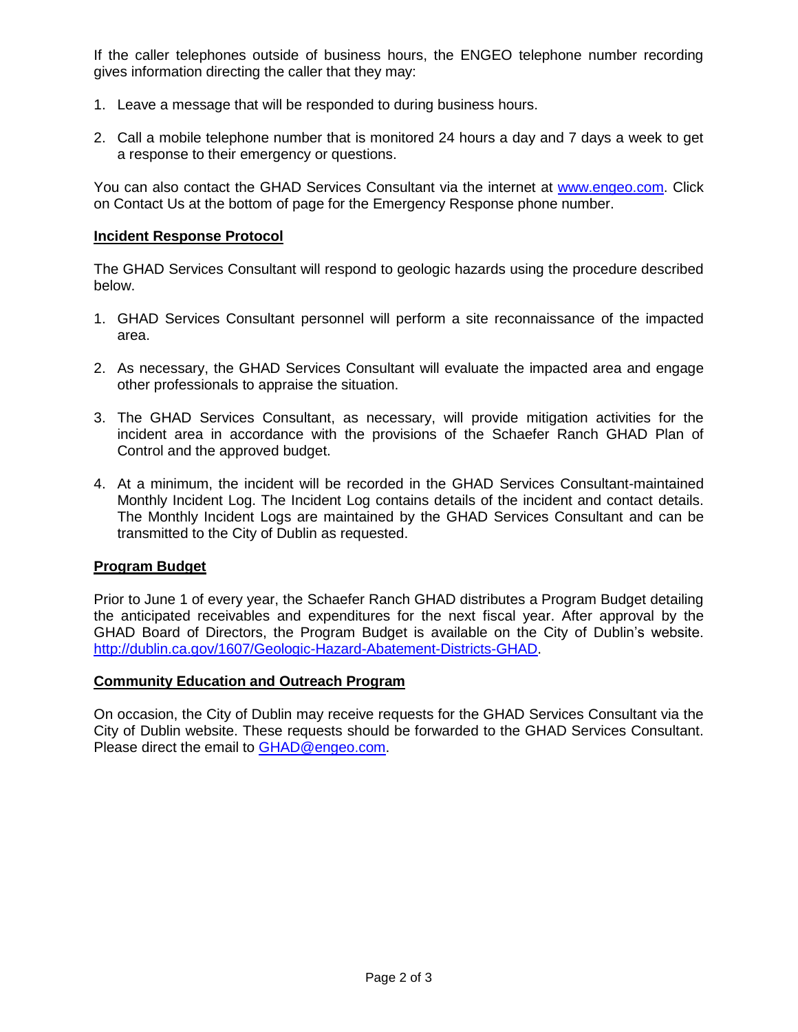If the caller telephones outside of business hours, the ENGEO telephone number recording gives information directing the caller that they may:

- 1. Leave a message that will be responded to during business hours.
- 2. Call a mobile telephone number that is monitored 24 hours a day and 7 days a week to get a response to their emergency or questions.

You can also contact the GHAD Services Consultant via the internet at [www.engeo.com.](http://www.engeo.com/) Click on Contact Us at the bottom of page for the Emergency Response phone number.

#### **Incident Response Protocol**

The GHAD Services Consultant will respond to geologic hazards using the procedure described below.

- 1. GHAD Services Consultant personnel will perform a site reconnaissance of the impacted area.
- 2. As necessary, the GHAD Services Consultant will evaluate the impacted area and engage other professionals to appraise the situation.
- 3. The GHAD Services Consultant, as necessary, will provide mitigation activities for the incident area in accordance with the provisions of the Schaefer Ranch GHAD Plan of Control and the approved budget.
- 4. At a minimum, the incident will be recorded in the GHAD Services Consultant-maintained Monthly Incident Log. The Incident Log contains details of the incident and contact details. The Monthly Incident Logs are maintained by the GHAD Services Consultant and can be transmitted to the City of Dublin as requested.

# **Program Budget**

Prior to June 1 of every year, the Schaefer Ranch GHAD distributes a Program Budget detailing the anticipated receivables and expenditures for the next fiscal year. After approval by the GHAD Board of Directors, the Program Budget is available on the City of Dublin's website. [http://dublin.ca.gov/1607/Geologic-Hazard-Abatement-Districts-GHAD.](http://dublin.ca.gov/1607/Geologic-Hazard-Abatement-Districts-GHAD)

# **Community Education and Outreach Program**

On occasion, the City of Dublin may receive requests for the GHAD Services Consultant via the City of Dublin website. These requests should be forwarded to the GHAD Services Consultant. Please direct the email to [GHAD@engeo.com.](mailto:GHAD@engeo.com)